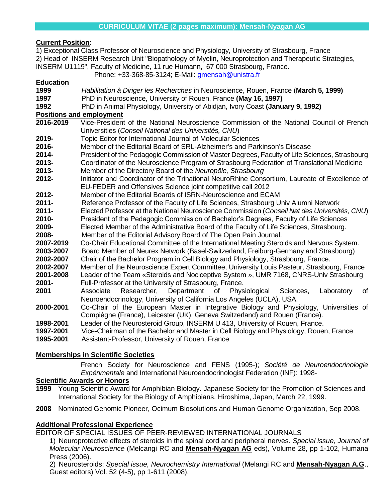# **Current Position**:

| 1) Exceptional Class Professor of Neuroscience and Physiology, University of Strasbourg, France      |                                                                                                |
|------------------------------------------------------------------------------------------------------|------------------------------------------------------------------------------------------------|
| 2) Head of INSERM Research Unit "Biopathology of Myelin, Neuroprotection and Therapeutic Strategies, |                                                                                                |
|                                                                                                      | INSERM U1119", Faculty of Medicine, 11 rue Humann, 67 000 Strasbourg, France.                  |
|                                                                                                      | Phone: +33-368-85-3124; E-Mail: gmensah@unistra.fr                                             |
| <b>Education</b>                                                                                     |                                                                                                |
| 1999                                                                                                 | Habilitation à Diriger les Recherches in Neuroscience, Rouen, France (March 5, 1999)           |
| 1997                                                                                                 | PhD in Neuroscience, University of Rouen, France (May 16, 1997)                                |
| 1992                                                                                                 | PhD in Animal Physiology, University of Abidian, Ivory Coast (January 9, 1992)                 |
| <b>Positions and employment</b>                                                                      |                                                                                                |
| 2016-2019                                                                                            | Vice-President of the National Neuroscience Commission of the National Council of French       |
|                                                                                                      | Universities (Conseil National des Universités, CNU)                                           |
| 2019-                                                                                                | Topic Editor for International Journal of Molecular Sciences                                   |
| 2016-                                                                                                | Member of the Editorial Board of SRL-Alzheimer's and Parkinson's Disease                       |
| 2014-                                                                                                | President of the Pedagogic Commission of Master Degrees, Faculty of Life Sciences, Strasbourg  |
| 2013-                                                                                                | Coordinator of the Neuroscience Program of Strasbourg Federation of Translational Medicine     |
| 2013-                                                                                                | Member of the Directory Board of the Neuropôle, Strasbourg                                     |
| 2012-                                                                                                | Initiator and Coordinator of the Trinational NeuroRhine Consortium, Laureate of Excellence of  |
|                                                                                                      | EU-FEDER and Offensives Science joint competitive call 2012                                    |
| 2012-                                                                                                | Member of the Editorial Boards of ISRN-Neuroscience and ECAM                                   |
| $2011 -$                                                                                             | Reference Professor of the Faculty of Life Sciences, Strasbourg Univ Alumni Network            |
| $2011 -$                                                                                             | Elected Professor at the National Neuroscience Commission (Conseil Nat des Universités, CNU)   |
| 2010-                                                                                                | President of the Pedagogic Commission of Bachelor's Degrees, Faculty of Life Sciences          |
| 2009-                                                                                                | Elected Member of the Administrative Board of the Faculty of Life Sciences, Strasbourg.        |
| 2008-                                                                                                | Member of the Editorial Advisory Board of The Open Pain Journal.                               |
| 2007-2019                                                                                            | Co-Chair Educational Committee of the International Meeting Steroids and Nervous System.       |
| 2003-2007                                                                                            | Board Member of Neurex Network (Basel-Switzerland, Freiburg-Germany and Strasbourg)            |
| 2002-2007                                                                                            | Chair of the Bachelor Program in Cell Biology and Physiology, Strasbourg, France.              |
| 2002-2007                                                                                            | Member of the Neuroscience Expert Committee, University Louis Pasteur, Strasbourg, France      |
| 2001-2008                                                                                            | Leader of the Team «Steroids and Nociceptive System », UMR 7168, CNRS-Univ Strasbourg          |
| 2001-                                                                                                | Full-Professor at the University of Strasbourg, France.                                        |
| 2001                                                                                                 | Researcher,<br>Department<br>Physiological<br>Sciences,<br>Laboratory<br>Associate<br>of<br>of |
|                                                                                                      | Neuroendocrinology, University of California Los Angeles (UCLA), USA.                          |
| 2000-2001                                                                                            | Co-Chair of the European Master in Integrative Biology and Physiology, Universities of         |
|                                                                                                      | Compiègne (France), Leicester (UK), Geneva Switzerland) and Rouen (France).                    |
| 1998-2001                                                                                            | Leader of the Neurosteroid Group, INSERM U 413, University of Rouen, France.                   |
| 1997-2001                                                                                            | Vice-Chairman of the Bachelor and Master in Cell Biology and Physiology, Rouen, France         |
| 1995-2001                                                                                            | Assistant-Professor, University of Rouen, France                                               |

### **Memberships in Scientific Societies**

French Society for Neuroscience and FENS (1995-); *Société de Neuroendocrinologie Expérimentale* and International Neuroendocrinologist Federation (INF): 1998-

## **Scientific Awards or Honors**

- **1999** Young Scientific Award for Amphibian Biology. Japanese Society for the Promotion of Sciences and International Society for the Biology of Amphibians. Hiroshima, Japan, March 22, 1999.
- **2008** Nominated Genomic Pioneer, Ocimum Biosolutions and Human Genome Organization, Sep 2008.

# **Additional Professional Experience**

EDITOR OF SPECIAL ISSUES OF PEER-REVIEWED INTERNATIONAL JOURNALS

1) Neuroprotective effects of steroids in the spinal cord and peripheral nerves. *Special issue, Journal of Molecular Neuroscience* (Melcangi RC and **Mensah-Nyagan AG** eds), Volume 28, pp 1-102, Humana Press (2006).

2) Neurosteroids: *Special issue, Neurochemistry International* (Melangi RC and **Mensah-Nyagan A.G**., Guest editors) Vol. 52 (4-5), pp 1-611 (2008).